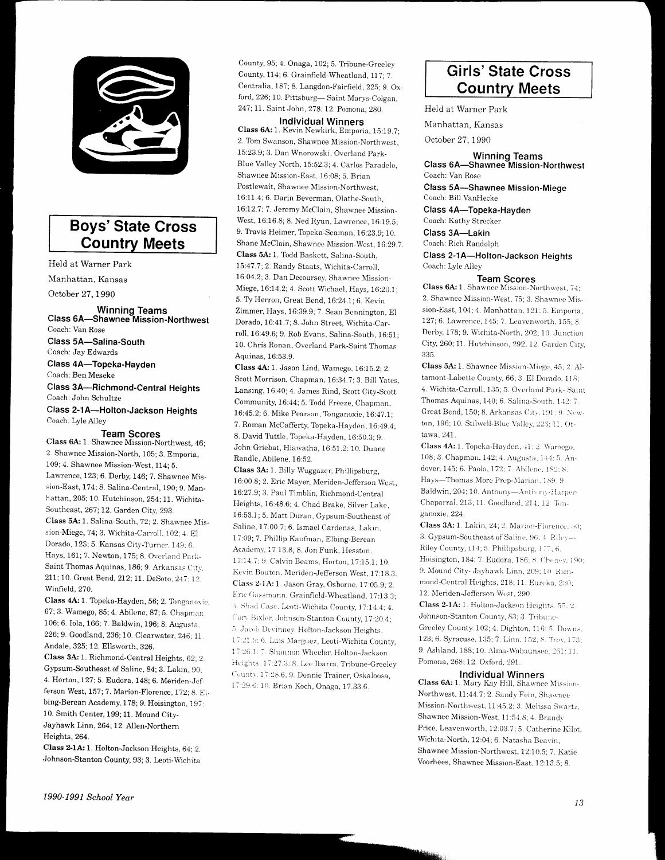

# **Boys' State Cross Country Meets**

Held at Warner Park Manhattan, Kansas

October 27, 1990

Winning Teams<br>Class 6A-Shawnee Mission-Northwest Coach: Van Rose Class 5A-Salina-South Coach: Jay Edwards Class 4A-Topeka-Hayden Coach: Ben Meseke Class 3A-Richmond-Central Heights Coach: John Schultze Class 2-1A-Holton-Jackson Heights Coach: Lyle Alley

#### **Team Scores**

Class 6A: 1. Shawnee Mission-Northwest, 46; 2. Shawnee Mission-North, 105; 3. Emporia, 109; 4. Shawnee Mission-West, 114; 5. Lawrence, 123; 6. Derby, 146; 7. Shawnee Mission-East, 174; 8. Salina-Central, 190; 9. Manhattan, 205; 10. Hutchinson, 254; 11. Wichita-Southeast, 267; 12. Garden City, 293. Class 5A: 1. Salina-South, 72; 2. Shawnee Mission-Miege, 74; 3. Wichita-Carroll, 102; 4. El Dorado, 128; 5. Kansas City-Turner. 149; 6. Hays, 161; 7. Newton, 175; 8. Overland Park-Saint Thomas Aquinas, 186; 9. Arkansas City, 211; 10. Great Bend, 212; 11. DeSoto, 247; 12. Winfield, 270.

Class 4A: 1. Topeka-Hayden, 56; 2. Tonganoxie, 67; 3. Wamego, 85; 4. Abilene, 87; 5. Chapman 106; 6. Iola, 166; 7. Baldwin, 196; 8. Augusta. 226; 9. Goodland, 236; 10. Clearwater, 246; 11 Andale, 325; 12. Ellsworth, 326.

Class 3A: 1. Richmond-Central Heights, 62; 2. Gypsum-Southeast of Saline, 84; 3. Lakin, 90; 4. Horton, 127; 5. Eudora, 148; 6. Meriden-Jefferson West, 157; 7. Marion-Florence, 172; 8. Elbing-Berean Academy, 178; 9. Hoisington, 197; 10. Smith Center, 199; 11. Mound City-Jayhawk Linn, 264; 12. Allen-Northern Heights, 264.

Class 2-1A: 1. Holton-Jackson Heights, 64; 2. Johnson-Stanton County, 93; 3. Leoti-Wichita

County, 95; 4. Onaga, 102; 5. Tribune-Greeley County, 114; 6. Grainfield-Wheatland, 117; 7. Centralia, 187; 8. Langdon-Fairfield, 225: 9. Oxford, 226; 10. Pittsburg-Saint Marvs-Colgan. 247; 11. Saint John, 278; 12. Pomona, 280.

**Individual Winners** Class 6A: 1. Kevin Newkirk, Emporia, 15:19.7; 2. Tom Swanson, Shawnee Mission-Northwest. 15:23.9; 3. Dan Wnorowski, Overland Park-Blue Valley North, 15:52.3; 4. Carlos Paradelo, Shawnee Mission-East, 16:08; 5. Brian Postlewait, Shawnee Mission-Northwest, 16:11.4; 6. Darin Beverman, Olathe-South, 16:12.7; 7. Jeremy McClain, Shawnee Mission-West, 16:16.8; 8. Ned Ryun, Lawrence, 16:19.5; 9. Travis Heimer, Topeka-Seaman, 16:23.9; 10. Shane McClain, Shawnee Mission-West, 16:29.7. Class 5A: 1. Todd Baskett, Salina-South, 15:47.7; 2. Randy Staats, Wichita-Carroll. 16:04.2; 3. Dan Decoursey, Shawnee Mission-Miege, 16:14.2; 4. Scott Wichael, Hays, 16:20.1; 5. Ty Herron, Great Bend, 16:24.1; 6. Kevin Zimmer, Hays, 16:39.9; 7. Sean Bennington, El Dorado, 16:41.7; 8. John Street, Wichita-Carroll, 16:49.6; 9. Rob Evans, Salina-South, 16:51; 10. Chris Ronan, Overland Park-Saint Thomas Aquinas, 16:53.9.

Class 4A: 1. Jason Lind, Wamego, 16:15.2; 2. Scott Morrison, Chapman, 16:34.7; 3. Bill Yates, Lansing, 16:40; 4. James Rind, Scott City-Scott Community, 16:44; 5. Todd Freeze, Chapman, 16:45.2; 6. Mike Pearson, Tonganoxie, 16:47.1; 7. Roman McCafferty, Topeka-Hayden, 16:49.4; 8. David Tuttle, Topeka-Hayden, 16:50.3; 9. John Griebat, Hiawatha, 16:51.2:10. Duane Randle, Abilene, 16:52

Class 3A: 1. Billy Wuggazer, Phillipsburg, 16:00.8; 2. Eric Mayer, Meriden-Jefferson West, 16:27.9; 3. Paul Timblin, Richmond-Central Heights, 16:48.6; 4. Chad Brake, Silver Lake, 16:53.1; 5. Matt Duran, Gypsum-Southeast of Saline, 17:00.7; 6. Ismael Cardenas, Lakin, 17:09; 7. Phillip Kaufman, Elbing-Berean Academy, 17:13.8; 8. Jon Funk, Hesston, 17:14.7; 9. Calvin Beams, Horton, 17:15.1; 10. Kevin Bouten, Meriden-Jefferson West, 17:18.3. Class 2-1A: 1. Jason Gray, Osborne, 17:05.9; 2. Eric Gassmann, Grainfield-Wheatland, 17:13.3; 3. Shad Case, Leoti-Wichita County, 17:14.4; 4 Cory Bixler, Johnson-Stanton County, 17:20.4; 5. Jacob Devinney, Holton-Jackson Heights, 17:21.9:6. Luis Marguez, Leoti-Wichita County, 17:26.1: 7. Shannon Wheeler, Holton-Jackson Heights, 17:27.3; S. Lee Ibarra, Tribune-Greeley County, 17:28.6; 9. Donnie Trainer, Oskaloosa, 17:29.6: 10. Brian Koch, Onaga, 17:33.6.

# **Girls' State Cross Country Meets**

Held at Warner Park

Manhattan, Kansas

October 27, 1990

Winning Teams<br>Class 6A-Shawnee Mission-Northwest Coach: Van Rose

**Class 5A-Shawnee Mission-Miege** Coach: Bill VanHecke

Class 4A-Topeka-Hayden

Coach: Kathy Strecker

### Class 3A-Lakin

Coach: Rich Randolph Class 2-1A-Holton-Jackson Heights

Coach: Lyle Alley

#### **Team Scores**

Class 6A: 1. Shawnee Mission-Northwest, 74; 2. Shawnee Mission-West, 75; 3. Shawnee Mission-East, 104; 4. Manhattan, 121; 5. Emporia, 127; 6. Lawrence, 145; 7. Leavenworth, 155; 8. Derby, 178; 9. Wichita-North, 202; 10. Junction City, 260; 11. Hutchinson, 292, 12. Garden City, 335

Class 5A: 1. Shawnee Mission-Miege, 45; 2. Altamont-Labette County, 66; 3. El Dorado, 118; 4. Wichita-Carroll, 135; 5. Overland Park-Saint Thomas Aquinas, 140; 6. Salina-South, 142; 7. Great Bend, 150; 8. Arkansas City, 191; 9. Newton, 196; 10. Stilwell-Blue Valley, 223; 11. Ottawa. 241

Class 4A: 1. Topeka-Hayden, 41: 2. Wamego, 108; 3. Chapman, 142; 4. Augusta, 144; 5. Andover, 145; 6. Paola, 172; 7. Abilene, 182; 8. Hays-Thomas More Prep-Marian, 189: 9. Baldwin, 204; 10. Anthony-Anthony-Harper-Chaparral, 213; 11. Goodland, 214: 12 Tonganoxie, 224

Class 3A: 1. Lakin, 24; 2. Marion-Florence, 80; 3. Gypsum-Southeast of Saline, 96; 4 Rilev-Riley County, 114; 5. Phillipsburg, 177; 6. Hoisington, 184; 7. Eudora, 186; 8. Chenev, 190; 9. Mound City- Jayhawk Linn, 209; 10 Richmond-Central Heights, 218; 11. Eureka, 230; 12. Meriden-Jefferson West, 290.

Class 2-1A: 1. Holton-Jackson Heights, 55, 2. Johnson-Stanton County, 83; 3. Tribune-Greeley County, 102; 4. Dighton, 116; 5. Downs, 123; 6. Syracuse, 135; 7. Linn, 152; 8. Trov, 173; 9. Ashland, 188; 10. Alma-Wabaunsee, 261: 11. Pomona, 268; 12. Oxford, 291.

#### **Individual Winners**

Class 6A: 1. Mary Kay Hill, Shawnee Mission-Northwest, 11:44.7; 2. Sandy Fein, Shawnee Mission-Northwest, 11:45.2; 3. Melissa Swartz, Shawnee Mission-West, 11:54.8; 4. Brandy Price, Leavenworth, 12:03.7; 5. Catherine Kilot, Wichita-North, 12:04; 6. Natasha Beavin, Shawnee Mission-Northwest, 12:10.5; 7. Katie Voorhees, Shawnee Mission-East, 12:13.5; 8.